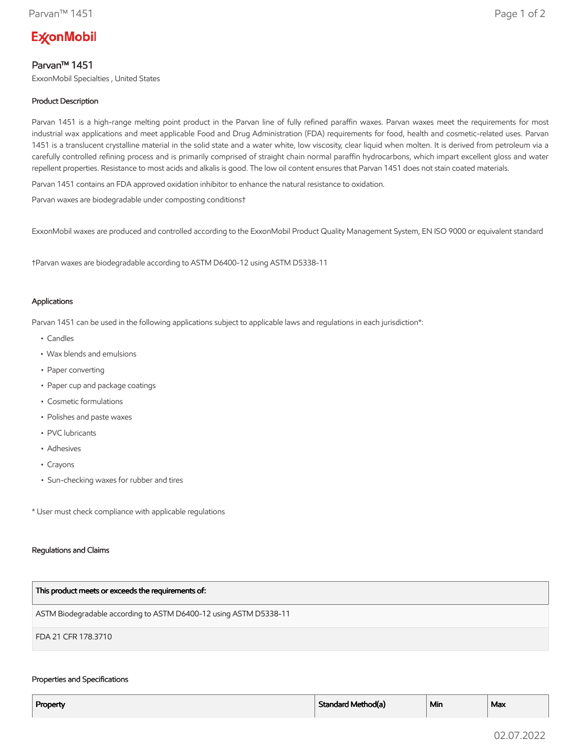# **ExconMobil**

## Parvan™ 1451

ExxonMobil Specialties , United States

### Product Description

Parvan 1451 is a high-range melting point product in the Parvan line of fully refined paraffin waxes. Parvan waxes meet the requirements for most industrial wax applications and meet applicable Food and Drug Administration (FDA) requirements for food, health and cosmetic-related uses. Parvan 1451 is a translucent crystalline material in the solid state and a water white, low viscosity, clear liquid when molten. It is derived from petroleum via a carefully controlled refining process and is primarily comprised of straight chain normal paraffin hydrocarbons, which impart excellent gloss and water repellent properties. Resistance to most acids and alkalis is good. The low oil content ensures that Parvan 1451 does not stain coated materials.

Parvan 1451 contains an FDA approved oxidation inhibitor to enhance the natural resistance to oxidation.

Parvan waxes are biodegradable under composting conditions†

ExxonMobil waxes are produced and controlled according to the ExxonMobil Product Quality Management System, EN ISO 9000 or equivalent standard

†Parvan waxes are biodegradable according to ASTM D6400-12 using ASTM D5338-11

#### Applications

Parvan 1451 can be used in the following applications subject to applicable laws and regulations in each jurisdiction\*:

- Candles
- Wax blends and emulsions
- Paper converting
- Paper cup and package coatings
- Cosmetic formulations
- Polishes and paste waxes
- PVC lubricants
- Adhesives
- Crayons
- Sun-checking waxes for rubber and tires

\* User must check compliance with applicable regulations

#### Regulations and Claims

| This product meets or exceeds the requirements of:                |
|-------------------------------------------------------------------|
| ASTM Biodegradable according to ASTM D6400-12 using ASTM D5338-11 |
| FDA 21 CFR 178.3710                                               |

#### Properties and Specifications

| Property | Standard Method(a) | Min | Max |
|----------|--------------------|-----|-----|
|          |                    |     |     |